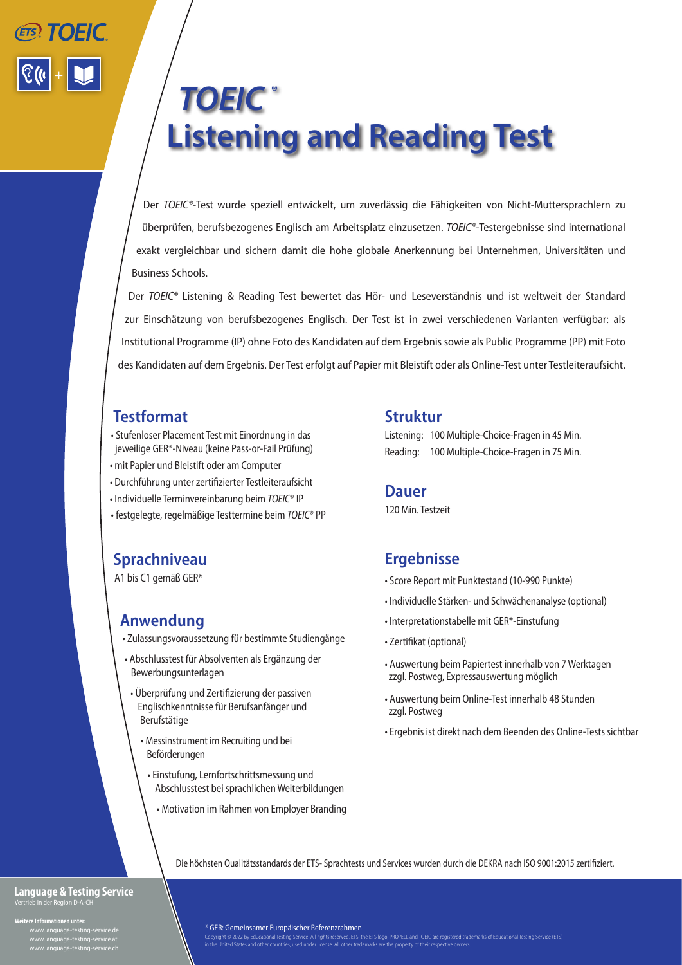# *TOEIC ®* **Listening and Reading Test** +

Der *TOEIC®-*Test wurde speziell entwickelt, um zuverlässig die Fähigkeiten von Nicht-Muttersprachlern zu überprüfen, berufsbezogenes Englisch am Arbeitsplatz einzusetzen. *TOEIC®-*Testergebnisse sind international exakt vergleichbar und sichern damit die hohe globale Anerkennung bei Unternehmen, Universitäten und Business Schools.

Der *TOEIC®* Listening & Reading Test bewertet das Hör- und Leseverständnis und ist weltweit der Standard zur Einschätzung von berufsbezogenes Englisch. Der Test ist in zwei verschiedenen Varianten verfügbar: als Institutional Programme (IP) ohne Foto des Kandidaten auf dem Ergebnis sowie als Public Programme (PP) mit Foto des Kandidaten auf dem Ergebnis. Der Test erfolgt auf Papier mit Bleistift oder als Online-Test unter Testleiteraufsicht.

# **Testformat**

- Stufenloser Placement Test mit Einordnung in das jeweilige GER\*-Niveau (keine Pass-or-Fail Prüfung)
- mit Papier und Bleistift oder am Computer
- Durchführung unter zertifizierter Testleiteraufsicht
- Individuelle Terminvereinbarung beim *TOEIC*® IP
- festgelegte, regelmäßige Testtermine beim *TOEIC*® PP

# **Sprachniveau**

A1 bis C1 gemäß GER\*

# **Anwendung**

- Zulassungsvoraussetzung für bestimmte Studiengänge
- Abschlusstest für Absolventen als Ergänzung der Bewerbungsunterlagen
- Überprüfung und Zertifizierung der passiven Englischkenntnisse für Berufsanfänger und Berufstätige
	- Messinstrument im Recruiting und bei Beförderungen
		- Einstufung, Lernfortschrittsmessung und Abschlusstest bei sprachlichen Weiterbildungen
			- Motivation im Rahmen von Employer Branding

### **Struktur**

Listening: 100 Multiple-Choice-Fragen in 45 Min. Reading: 100 Multiple-Choice-Fragen in 75 Min.

### **Dauer**

120 Min. Testzeit

## **Ergebnisse**

- Score Report mit Punktestand (10-990 Punkte)
- Individuelle Stärken- und Schwächenanalyse (optional)
- Interpretationstabelle mit GER\*-Einstufung
- Zertifikat (optional)
- Auswertung beim Papiertest innerhalb von 7 Werktagen zzgl. Postweg, Expressauswertung möglich
- Auswertung beim Online-Test innerhalb 48 Stunden zzgl. Postweg
- Ergebnis ist direkt nach dem Beenden des Online-Tests sichtbar

Die höchsten Qualitätsstandards der ETS- Sprachtests und Services wurden durch die DEKRA nach ISO 9001:2015 zertifiziert.

#### **Language & Testing Service** Vertrieb in der Region D-A-CH

**Weitere Informationen unter:**

 www.language-testing-service.de www.language-testing-service.at www.language-testing-service.ch \* GER: Gemeinsamer Europäischer Referenzrahmen

Copyright © 2022 by Educational Testing Service. All rights reserved. ETS, the ETS logo, PROPELL and TOEIC are registered trademarks of Educational Testing Service (ETS)<br>in the United States and other countries, used under